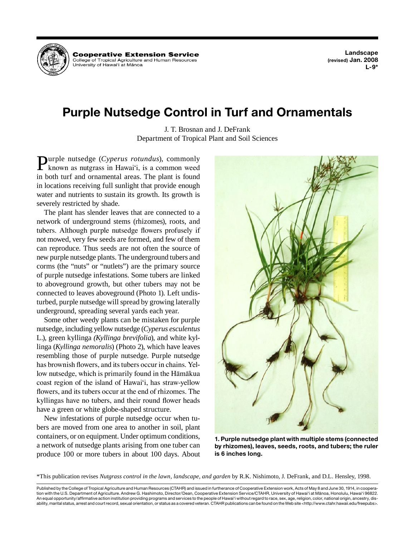

**Landscape (revised) Jan. 2008 L-9\*** 

# **Purple Nutsedge Control in Turf and Ornamentals**

J. T. Brosnan and J. DeFrank Department of Tropical Plant and Soil Sciences

**Purple nutsedge** (*Cyperus rotundus*), commonly **Purple nutsedge (Cyperus rotundus), commonly known as nutgrass in Hawai'i, is a common weed in heath turn of comparison of the plant is found.** in both turf and ornamental areas. The plant is found in locations receiving full sunlight that provide enough water and nutrients to sustain its growth. Its growth is severely restricted by shade.

 network of underground stems (rhizomes), roots, and new purple nutsedge plants. The underground tubers and to aboveground growth, but other tubers may not be The plant has slender leaves that are connected to a tubers. Although purple nutsedge flowers profusely if not mowed, very few seeds are formed, and few of them can reproduce. Thus seeds are not often the source of corms (the "nuts" or "nutlets") are the primary source of purple nutsedge infestations. Some tubers are linked connected to leaves aboveground (Photo 1). Left undisturbed, purple nutsedge will spread by growing laterally underground, spreading several yards each year.

 nutsedge, including yellow nutsedge (*Cyperus esculentus*  has brownish flowers, and its tubers occur in chains. Yel-Some other weedy plants can be mistaken for purple L.), green kyllinga *(Kyllinga brevifolia*), and white kyllinga (*Kyllinga nemoralis*) (Photo 2), which have leaves resembling those of purple nutsedge. Purple nutsedge low nutsedge, which is primarily found in the Hāmākua coast region of the island of Hawai'i, has straw-yellow flowers, and its tubers occur at the end of rhizomes. The kyllingas have no tubers, and their round flower heads have a green or white globe-shaped structure.

 containers, or on equipment. Under optimum conditions, New infestations of purple nutsedge occur when tubers are moved from one area to another in soil, plant a network of nutsedge plants arising from one tuber can produce 100 or more tubers in about 100 days. About



**1. Purple nutsedge plant with multiple stems (connected by rhizomes), leaves, seeds, roots, and tubers; the ruler is 6 inches long.** 

\*This publication revises *Nutgrass control in the lawn, landscape, and garden* by R.K. Nishimoto, J. DeFrank, and D.L. Hensley, 1998.

 Published by the College of Tropical Agriculture and Human Resources (CTAHR) and issued in furtherance of Cooperative Extension work, Acts of May 8 and June 30, 1914, in coopera- tion with the U.S. Department of Agriculture. Andrew G. Hashimoto, Director/Dean, Cooperative Extension Service/CTAHR, University of Hawai'i at Mänoa, Honolulu, Hawai'i 96822. An equal opportunity/affirmative action institution providing programs and services to the people of Hawai'i without regard to race, sex, age, religion, color, national origin, ancestry, dis-ability, marital status, arrest and court record, sexual orientation, or status as a covered veteran. CTAHR publications can be found on the Web site <http://www.ctahr.hawaii.edu/freepubs>.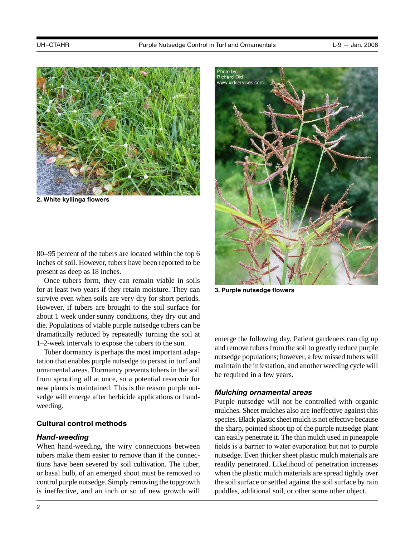

**2. White kyllinga flowers** 

Photo by:<br>Richard Old www.xidservices.com **3. Purple nutsedge flowers** 

80–95 percent of the tubers are located within the top 6 inches of soil. However, tubers have been reported to be present as deep as 18 inches.

Once tubers form, they can remain viable in soils for at least two years if they retain moisture. They can survive even when soils are very dry for short periods. However, if tubers are brought to the soil surface for about 1 week under sunny conditions, they dry out and die. Populations of viable purple nutsedge tubers can be dramatically reduced by repeatedly turning the soil at 1–2-week intervals to expose the tubers to the sun.

Tuber dormancy is perhaps the most important adaptation that enables purple nutsedge to persist in turf and ornamental areas. Dormancy prevents tubers in the soil from sprouting all at once, so a potential reservoir for new plants is maintained. This is the reason purple nutsedge will emerge after herbicide applications or handweeding.

### **Cultural control methods**

### *Hand-weeding*

 When hand-weeding, the wiry connections between control purple nutsedge. Simply removing the topgrowth is ineffective, and an inch or so of new growth will tubers make them easier to remove than if the connections have been severed by soil cultivation. The tuber, or basal bulb, of an emerged shoot must be removed to

emerge the following day. Patient gardeners can dig up and remove tubers from the soil to greatly reduce purple nutsedge populations; however, a few missed tubers will maintain the infestation, and another weeding cycle will be required in a few years.

### *Mulching ornamental areas*

 Purple nutsedge will not be controlled with organic species. Black plastic sheet mulch is not effective because mulches. Sheet mulches also are ineffective against this the sharp, pointed shoot tip of the purple nutsedge plant can easily penetrate it. The thin mulch used in pineapple fields is a barrier to water evaporation but not to purple nutsedge. Even thicker sheet plastic mulch materials are readily penetrated. Likelihood of penetration increases when the plastic mulch materials are spread tightly over the soil surface or settled against the soil surface by rain puddles, additional soil, or other some other object.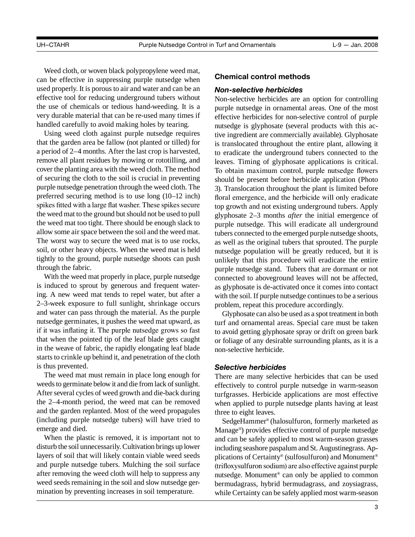Weed cloth, or woven black polypropylene weed mat,<br>can be effective in suppressing purple nutsedge when **Chemical control methods** used properly. It is porous to air and water and can be an *Non-selective herbicides*  effective tool for reducing underground tubers without<br>the use of chemicals or tedious hand-weeding. It is a nurnle nutsedge in ornamental areas. One of the most the use of chemicals or tedious hand-weeding. It is a purple nutsedge in ornamental areas. One of the most<br>very durable material that can be re-used many times if effective herbicides for non-selective control of purple very durable material that can be re-used many times if effective herbicides for non-selective control of purple<br>handled carefully to avoid making holes by tearing.

purple nutsedge penetration through the weed cloth. The spikes fitted with a large flat washer. These spikes secure the weed mat to the ground but should not be used to pull a period of 2–4 months. After the last crop is harvested, to eradicate the underground tubers connected to the remove all plant residues by mowing or rototilling, and leaves. Timing of glyphosate applications is critical. cover the planting area with the weed cloth. The method To obtain maximum control, purple nutsedge flowers of securing the cloth to the soil is crucial in preventing should be present before herbicide application (Photo the weed mat too tight. There should be enough slack to purple nutsedge. This will eradicate all underground allow some air space between the soil and the weed mat. tubers connected to the emerged purple nutsedge shoots, soil, or other heavy objects. When the weed mat is held nutsedge population will be greatly reduced, but it is tightly to the ground, purple nutsedge shoots can push unlikely that this procedure will eradicate the entire Using weed cloth against purple nutsedge requires tive ingredient are commercially available). Glyphosate that the garden area be fallow (not planted or tilled) for is translocated throughout the entire plant allowing it that the garden area be fallow (not planted or tilled) for is translocated throughout the entire plant, allowing it<br>a period of 2–4 months. After the last crop is harvested, to eradicate the underground tubers connected to purple nutsedge penetration through the weed cloth. The 3). Translocation throughout the plant is limited before<br>preferred securing method is to use long (10–12 inch) floral emergence, and the herbicide will only eradicate the weed mat to the ground but should not be used to pull glyphosate 2–3 months *after* the initial emergence of the weed mat too tight. There should be enough slack to purple nutsedge. This will eradicate all underground The worst way to secure the weed mat is to use rocks, as well as the original tubers that sprouted. The purple soil, or other heavy objects. When the weed mat is held nutsed be propulation will be greatly reduced but it is

is induced to sprout by generous and frequent water- starts to crinkle up behind it, and penetration of the cloth and water can pass through the material. As the purple Glyphosate can also be used as a spot treatment in both is induced to sprout by generous and frequent water-<br>ing. A new weed mat tends to repel water, but after a with the soil. If purple nutsed ge continues to be a serious 2–3-week exposure to full sunlight, shrinkage occurs problem, repeat this procedure accordingly.<br>and water can pass through the material. As the purple Glyphosate can also be used as a spot treatr nutsedge germinates, it pushes the weed mat upward, as turf and ornamental areas. Special care must be taken<br>if it was inflating it. The purple nutsedge grows so fast to avoid getting glyphosate spray or drift on green bar if it was inflating it. The purple nutsedge grows so fast to avoid getting glyphosate spray or drift on green bark<br>that when the pointed tip of the leaf blade gets caught or foliage of any desirable surrounding plants, as in the weave of fabric, the rapidly elongating leaf blade non-selective herbicide. is thus prevented. *Selective herbicides* 

weeds to germinate below it and die from lack of sunlight. After several cycles of weed growth and die-back during (including purple nutsedge tubers) will have tried to After several cycles of weed growth and die-back during turfgrasses. Herbicide applications are most effective The weed mat must remain in place long enough for There are many selective herbicides that can be used the 2–4-month period, the weed mat can be removed when applied to purple nutsedge plants having at least and the garden replanted. Most of the weed propagules three to eight leaves. (including purple nutsedge tubers) will have tried to SedgeHammer® (halosulfuron, formerly marketed as emerge and died. Manage®) provides effective control of purple nutsedge

disturb the soil unnecessarily. Cultivation brings up lower disturb the soil unnecessarily. Cultivation brings up lower including seashore paspalum and St. Augustinegrass. Aplayers of soil that will likely contain viable weed seeds plications of Certainty<sup>®</sup> (sulfosulfuron) and Monument<sup>®</sup> and purple nutsedge tubers. Mulching the soil surface (trifloxysulfuron sodium) are also effective agains after removing the weed cloth will help to suppress any nutsedge. Monument<sup>®</sup> can only be applied to common weed seeds remaining in the soil and slow nutsedge ger-<br>hermudagrass hybrid bermudagrass and zovsiagrass weed seeds remaining in the soil and slow nutsedge ger-<br>mination by preventing increases in soil temperature.<br>while Certainty can be safely applied most warm-season

 ing. A new weed mat tends to repel water, but after a with the soil. If purple nutsedge continues to be a serious ndled carefully to avoid making holes by tearing.<br>Using weed cloth against purple nutsedge requires tive ingredient are commercially available). Glyphosate floral emergence, and the herbicide will only eradicate top growth and not existing underground tubers. Apply through the fabric.<br>With the weed mat properly in place, purple nutsedge stand. Tubers that are dormant or not<br>connected to above ground leaves will not be affected connected to aboveground leaves will not be affected,

or foliage of any desirable surrounding plants, as it is a

effectively to control purple nutsedge in warm-season

 and purple nutsedge tubers. Mulching the soil surface (trifloxysulfuron sodium) are also effective against purple mination by preventing increases in soil temperature. while Certainty can be safely applied most warm-season herge and died.<br>When the plastic is removed, it is important not to and can be safely applied to most warm-season grasses and can be safely applied to most warm-season grasses